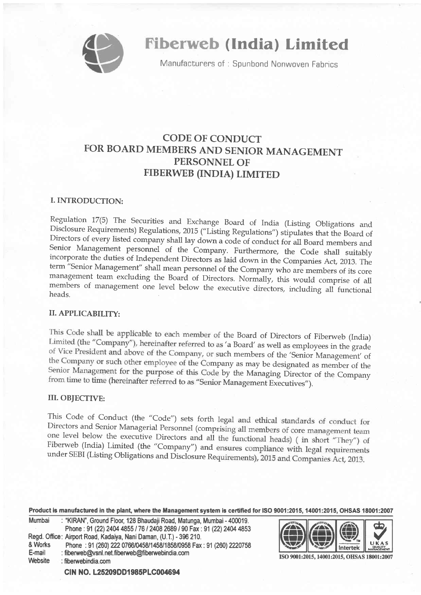

# **Fiberweb (India) Limited**

Manufacturers of: Spunbond Nonwoven Fabrics

# CODE OF CONDUCT FOR BOARD MEMBERS AND SENIOR MANAGEMENT PERSONNEL OF FIBERWEB (INDIA) LIMITED

# I.INTRODUCTION:

Regulation 17(5) The Securities and Exchange Board of India (Listing Obligations and Disclosure Requirements) Regulations, 2015 ("Listing Regulations") stipulates that the Board of Directors of every listed company shall l

# II. APPLICABILITY:

This Code shall be applicable to each member of the Board of Directors of Fiberweb (India) Limited (the "Company"), hereinafter referred to as 'a Board' as well as employees in the grade of Vice President and above of the Company, or such members of the 'Senior Management' of the Company or such other employee of the Company as may be designated as member of the Senior Management for the purpose of this Code by the Managing Director of the Company from time to time (hereinafter referred to as "Senior Management Executives").

## **III. OBJECTIVE:**

This Code of Conduct (the "Code") sets forth legal and ethical standards of conduct for Directors and Senior Managerial Personnel (comprising all members of core management team one level below the executive Directors and all the functional heads) (in short "They") of Fiberweb (India) Limited (the "Company") and ensures compliance with legal requirements under SEBI (Listing Obligations and Disclosure Requirements), 2015 and Companies Act, 2013.

Product is manufactured in the plant, where the Management system is certified for ISO 9001:2015, 14001:2015, OHSAS 18001:2007

| Mumbai  | : "KIRAN", Ground Floor, 128 Bhaudaji Road, Matunga, Mumbai - 400019. |
|---------|-----------------------------------------------------------------------|
|         | Phone: 91 (22) 2404 4855 / 76 / 2408 2689 / 90 Fax: 91 (22) 2404 4853 |
|         | Regd. Office: Airport Road, Kadaiya, Nani Daman, (U.T.) - 396 210.    |
| & Works | Phone: 91 (260) 222 0766/0458/1458/1858/0958 Fax: 91 (260) 2220758    |
| E-mail  | : fiberweb@vsnl.net.fiberweb@fiberwebindia.com                        |
| Website | : fiberwebindia.com                                                   |
|         |                                                                       |



ISO 9001:2015, 14001:2015, OHSAS 18001:2007

CIN NO. L25209DD1985PLC004694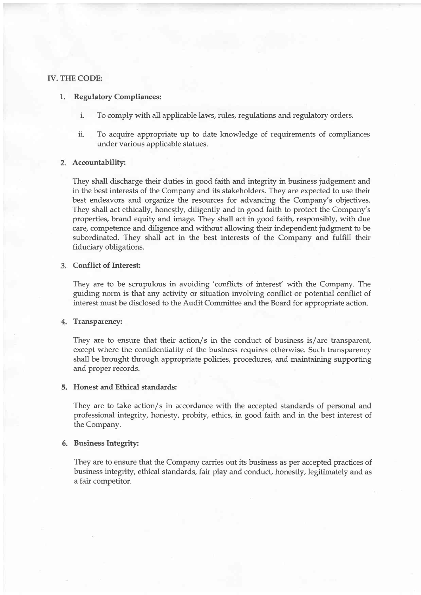#### IV. THE CODE:

#### 1. Regulatory Compliances

- i. To comply with all applicable laws, rules, regulations and regulatory orders.
- ii. To acquire appropriate up to date knowledge of requirements of compliances under various applicable stafues.

#### Accountability:

They shall discharge their duties in good faith and integrity in business judgement and in the best interests of the Company and its stakeholders. They are expected to use their best endeavors and organize the resources for advancing the Company's objectives. They shall act ethically, honestly, diligently and in good faith to protect the Company's properties, brand equity and image. They shall act in good faith, responsibly, with due care/ competence and diligence and without allowing their independent judgment to be subordinated. They shall act in the best interests of the Company and fuIfill their fiduciary obligations.

#### Conflict of Interest:

They are to be scrupulous in avoiding'conflicts of interest' with the Company. The guiding norm is that any activity or situation involving conflict or potential conflict of interest must be disclosed to the Audit Committee and the Board for appropriate action.

#### 4. Transparency:

They are to ensure that their action/s in the conduct of business is/are transparent, except where the confidentiality of the business requires otherwise. Such transparency shall be brought through appropriate policies, procedures, and maintaining supporting and proper records.

#### 5. Honest and Ethical standards:

They are to take action/s in accordance with the accepted standards of personal and professional integrity, honesty, probity, ethics, in good faith and in the best interest of the Company.

#### Business Integrity:

They are to ensure that the Company carries out its business as per accepted practices of business integrity, ethical standards, fair play and conduct, honestly, legitimately and as a fair competitor.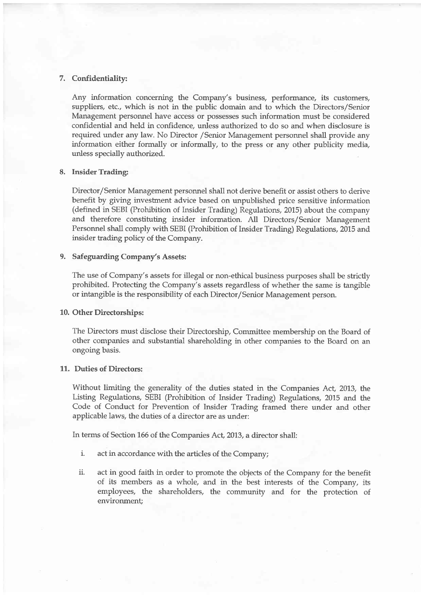### 7. Confidentiality:

Any information concerning the Company's business, performance, its customers, suppliers, etc., which is not in the public domain and to which the Directors/Senior Management personnel have access or possesses such information must be considered confidential and held in confidence, unless authorized to do so and when disclosure is required under any Iaw. No Director /Senior Management personnel shall provide any information either formally or informally, to the press or any other publicity media, unless specially authorized.

#### 8. Insider Trading:

Director/Senior Management personnel shall not derive benefit or assist others to derive benefit by giving investment advice based on unpublished price sensitive information (defined in SEBI (Prohibition of Insider Trading) Regulations, 2015) about the company and therefore constituting insider information. A11 Directors/Senior Management Personnel shall comply with SEBI (Prohibition of Insider Trading) Regulations, 2015 and insider trading policy of the Company.

#### 9. Safeguarding Company's Assets:

The use of Company's assets for illegal or non-ethical business purposes shall be strictly prohibited. Protecting the Company's assets regardless of whether the same is tangible or intangible is the responsibility of each Director/Senior Management person.

#### 10. Other Directorships:

The Directors must disclose their Directorship, Committee membership on the Board of other companies and substantial shareholding in other companies to the Board on an ongoing basis.

#### 11. Duties of Directors:

Without limiting the generality of the duties stated in the Companies Act, 2013, the Listing Regulations, SEBI (Prohibition of Insider Trading) Regulations, 2015 and the Code of Conduct for Prevention of Insider Trading framed there under and other applicable laws, the duties of a director are as under:

In terms of Section 166 of the Companies Act, 2013, a director shall:

- i. act in accordance with the articles of the Company;
- ii. act in good faith in order to promote the objects of the Company for the benefit of its members as a whole, and in the best interests of the Company, its employees, the shareholders, the community and for the protection of environment;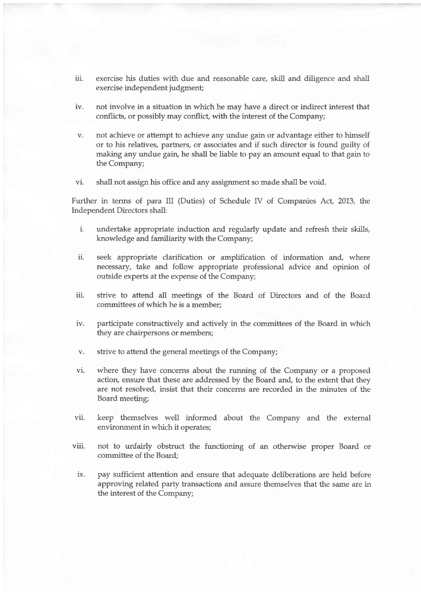- iii. exercise his duties with due and reasonable care, skill and diligence and shall exercise independent judgment;
- iv. not involve in a situation in which he may have a direct or indirect interest that conflicts, or possibly may conflict, with the interest of the Company;
- v. not achieve or attempt to achieve any undue gain or advantage either to himself or to his relatives, partrers, or associates and if such director is found guilty of making any undue gain, he shall be liable to pay an amount equal to that gain to the Company;
- vi. shall not assign his office and any assignment so made shall be void.

Further in terms of para III (Duties) of Schedule IV of Companies Act, 2013, the Independent Directors shall:

- i. undertake appropriate induction and regularly update and refresh their skills, knowledge and familiarity with the Company;
- ii. seek appropriate clarification or amplification of information and, where necessary, take and follow appropriate professional advice and opinion of outside experts at the expense of the Company;
- iii. strive to attend all meetings of the Board of Directors and of the Board committees of which he is a member;
- iv. participate constructively and actively in the comrnittees of the Board in which they are chairpersons or members;
- v. strive to attend the general meetings of the Company;
- vi. where they have concerns about the running of the Company or a proposed action, ensure that these are addressed by the Board and, to the extent that they are not resolved, insist that their concerns are recorded in the minutes of the Board meeting;
- vii. keep themselves well informed about the Company and the external environment in which it operates;
- viii. not to unfairly obstruct the functioning of an otherwise proper Board or committee of the Board;
- ix. pay sufficient attention and ensure that adequate deliberations are held before approving related party transactions and assure themselves that the same are in the interest of the Company;